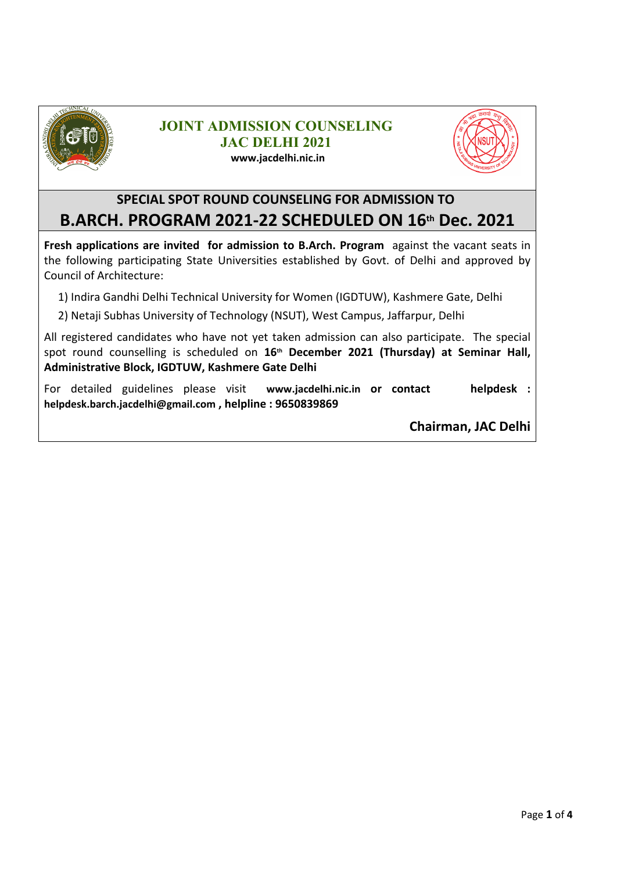

#### **JOINT ADMISSION COUNSELING JAC DELHI 2021 www.jacdelhi.nic.in**



#### **SPECIAL SPOT ROUND COUNSELING FOR ADMISSION TO B.ARCH. PROGRAM 2021-22 SCHEDULED ON 16th Dec. 2021**

**Fresh applications are invited for admission to B.Arch. Program** against the vacant seats in the following participating State Universities established by Govt. of Delhi and approved by Council of Architecture:

1) Indira Gandhi Delhi Technical University for Women (IGDTUW), Kashmere Gate, Delhi

2) Netaji Subhas University of Technology (NSUT), West Campus, Jaffarpur, Delhi

All registered candidates who have not yet taken admission can also participate. The special spot round counselling is scheduled on **16th December 2021 (Thursday) at Seminar Hall, Administrative Block, IGDTUW, Kashmere Gate Delhi** 

For detailed guidelines please visit **www.jacdelhi.nic.in or contact helpdesk : helpdesk.barch.jacdelhi@gmail.com , helpline : 9650839869**

**Chairman, JAC Delhi**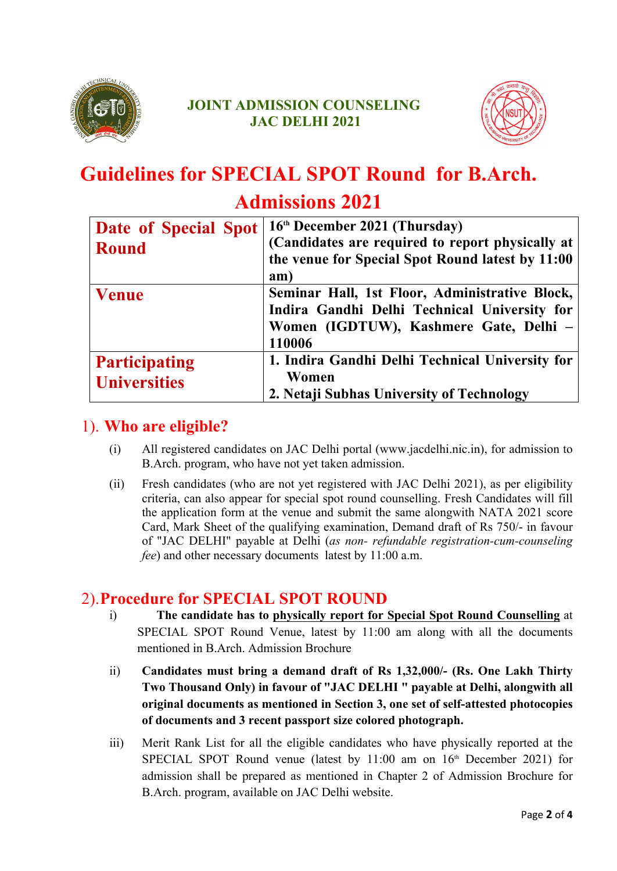



# **Guidelines for SPECIAL SPOT Round for B.Arch.**

### **Admissions 2021**

| Date of Special Spot | 16th December 2021 (Thursday)                    |
|----------------------|--------------------------------------------------|
| <b>Round</b>         | (Candidates are required to report physically at |
|                      | the venue for Special Spot Round latest by 11:00 |
|                      | am)                                              |
| <b>Venue</b>         | Seminar Hall, 1st Floor, Administrative Block,   |
|                      | Indira Gandhi Delhi Technical University for     |
|                      | Women (IGDTUW), Kashmere Gate, Delhi -           |
|                      | 110006                                           |
| <b>Participating</b> | 1. Indira Gandhi Delhi Technical University for  |
| <b>Universities</b>  | Women                                            |
|                      | 2. Netaji Subhas University of Technology        |

#### 1). **Who are eligible?**

- (i) All registered candidates on JAC Delhi portal (www.jacdelhi.nic.in), for admission to B.Arch. program, who have not yet taken admission.
- (ii) Fresh candidates (who are not yet registered with JAC Delhi 2021), as per eligibility criteria, can also appear for special spot round counselling. Fresh Candidates will fill the application form at the venue and submit the same alongwith NATA 2021 score Card, Mark Sheet of the qualifying examination, Demand draft of Rs 750/- in favour of "JAC DELHI" payable at Delhi (*as non- refundable registration-cum-counseling fee*) and other necessary documents latest by 11:00 a.m.

#### 2).**Procedure for SPECIAL SPOT ROUND**

- i) **The candidate has to physically report for Special Spot Round Counselling** at SPECIAL SPOT Round Venue, latest by 11:00 am along with all the documents mentioned in B.Arch. Admission Brochure
- ii) **Candidates must bring a demand draft of Rs 1,32,000/- (Rs. One Lakh Thirty Two Thousand Only) in favour of "JAC DELHI " payable at Delhi, alongwith all original documents as mentioned in Section 3, one set of self-attested photocopies of documents and 3 recent passport size colored photograph.**
- iii) Merit Rank List for all the eligible candidates who have physically reported at the SPECIAL SPOT Round venue (latest by  $11:00$  am on  $16<sup>th</sup>$  December 2021) for admission shall be prepared as mentioned in Chapter 2 of Admission Brochure for B.Arch. program, available on JAC Delhi website.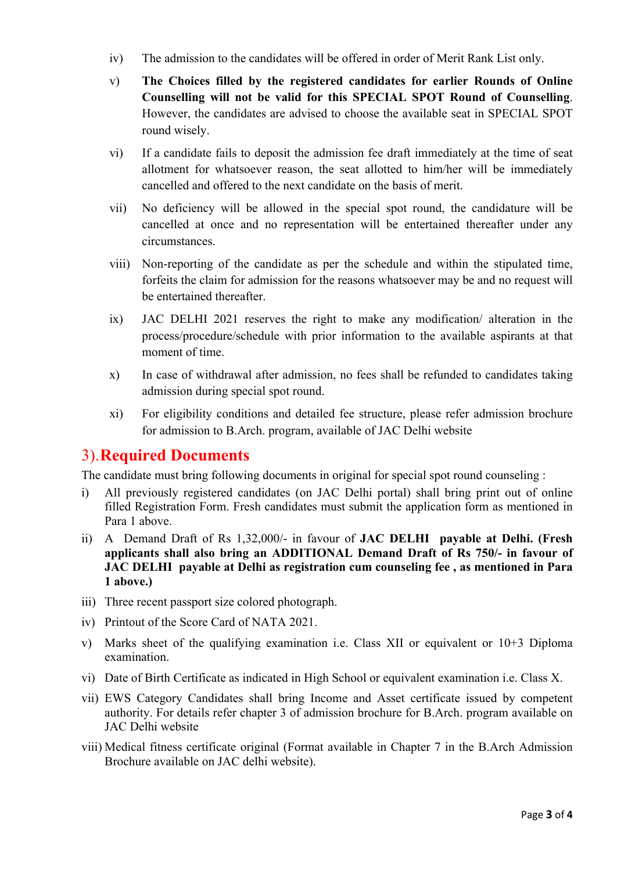- iv) The admission to the candidates will be offered in order of Merit Rank List only.
- v) **The Choices filled by the registered candidates for earlier Rounds of Online Counselling will not be valid for this SPECIAL SPOT Round of Counselling**. However, the candidates are advised to choose the available seat in SPECIAL SPOT round wisely.
- vi) If a candidate fails to deposit the admission fee draft immediately at the time of seat allotment for whatsoever reason, the seat allotted to him/her will be immediately cancelled and offered to the next candidate on the basis of merit.
- vii) No deficiency will be allowed in the special spot round, the candidature will be cancelled at once and no representation will be entertained thereafter under any circumstances.
- viii) Non-reporting of the candidate as per the schedule and within the stipulated time, forfeits the claim for admission for the reasons whatsoever may be and no request will be entertained thereafter.
- ix) JAC DELHI 2021 reserves the right to make any modification/ alteration in the process/procedure/schedule with prior information to the available aspirants at that moment of time.
- x) In case of withdrawal after admission, no fees shall be refunded to candidates taking admission during special spot round.
- xi) For eligibility conditions and detailed fee structure, please refer admission brochure for admission to B.Arch. program, available of JAC Delhi website

#### 3).**Required Documents**

The candidate must bring following documents in original for special spot round counseling :

- i) All previously registered candidates (on JAC Delhi portal) shall bring print out of online filled Registration Form. Fresh candidates must submit the application form as mentioned in Para 1 above.
- ii) A Demand Draft of Rs 1,32,000/- in favour of **JAC DELHI payable at Delhi. (Fresh applicants shall also bring an ADDITIONAL Demand Draft of Rs 750/- in favour of JAC DELHI payable at Delhi as registration cum counseling fee , as mentioned in Para 1 above.)**
- iii) Three recent passport size colored photograph.
- iv) Printout of the Score Card of NATA 2021.
- v) Marks sheet of the qualifying examination i.e. Class XII or equivalent or 10+3 Diploma examination.
- vi) Date of Birth Certificate as indicated in High School or equivalent examination i.e. Class X.
- vii) EWS Category Candidates shall bring Income and Asset certificate issued by competent authority. For details refer chapter 3 of admission brochure for B.Arch. program available on JAC Delhi website
- viii) Medical fitness certificate original (Format available in Chapter 7 in the B.Arch Admission Brochure available on JAC delhi website).